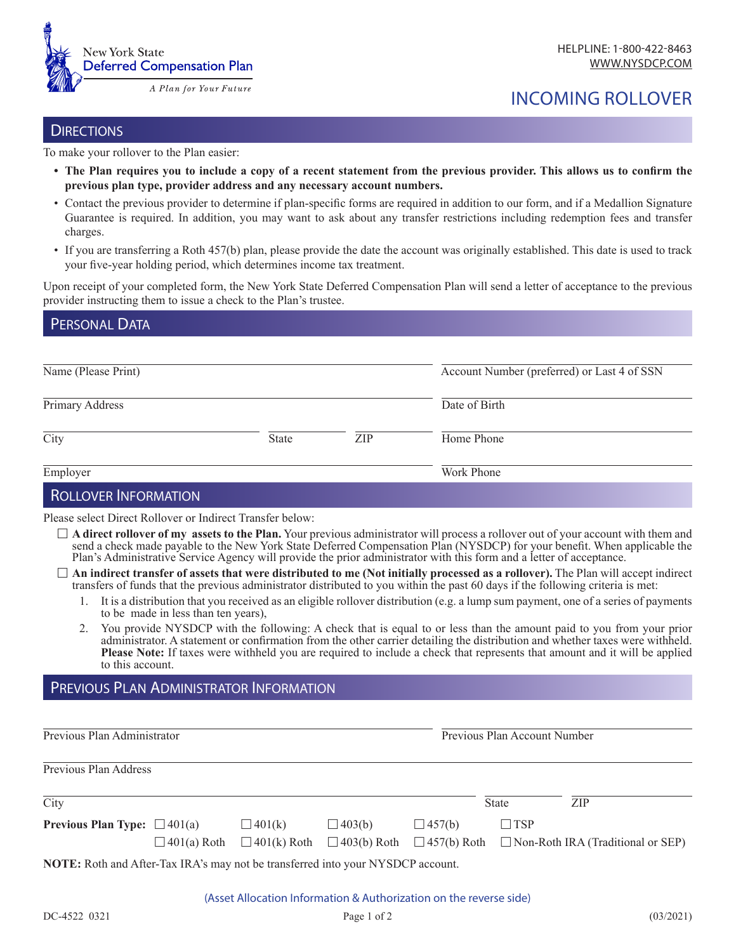

# INCOMING ROLLOVER

#### **DIRECTIONS**

DEDCONIAL DATA

To make your rollover to the Plan easier:

- **• The Plan requires you to include a copy of a recent statement from the previous provider. This allows us to confirm the previous plan type, provider address and any necessary account numbers.**
- Contact the previous provider to determine if plan-specific forms are required in addition to our form, and if a Medallion Signature Guarantee is required. In addition, you may want to ask about any transfer restrictions including redemption fees and transfer charges.
- If you are transferring a Roth 457(b) plan, please provide the date the account was originally established. This date is used to track your five-year holding period, which determines income tax treatment.

Upon receipt of your completed form, the New York State Deferred Compensation Plan will send a letter of acceptance to the previous provider instructing them to issue a check to the Plan's trustee.

| <b>I LIVUITLUNIA</b> |              |     |                                             |
|----------------------|--------------|-----|---------------------------------------------|
| Name (Please Print)  |              |     | Account Number (preferred) or Last 4 of SSN |
| Primary Address      |              |     | Date of Birth                               |
| City                 | <b>State</b> | ZIP | Home Phone                                  |
| Employer             |              |     | Work Phone                                  |

# Rollover Information

Please select Direct Rollover or Indirect Transfer below:

- $\Box$  **A direct rollover of my assets to the Plan.** Your previous administrator will process a rollover out of your account with them and send a check made payable to the New York State Deferred Compensation Plan (NYSDCP) for your benefit. When applicable the Plan's Administrative Service Agency will provide the prior administrator with this form and a letter of acceptance.
- F **An indirect transfer of assets that were distributed to me (Not initially processed as a rollover).** The Plan will accept indirect transfers of funds that the previous administrator distributed to you within the past 60 days if the following criteria is met:
	- 1. It is a distribution that you received as an eligible rollover distribution (e.g. a lump sum payment, one of a series of payments to be made in less than ten years),
	- 2. You provide NYSDCP with the following: A check that is equal to or less than the amount paid to you from your prior administrator. A statement or confirmation from the other carrier detailing the distribution and whether taxes were withheld. **Please Note:** If taxes were withheld you are required to include a check that represents that amount and it will be applied to this account.

# Previous Plan Administrator Information

Previous Plan Administrator  $\overline{a}$ 

Previous Plan Account Number

| Previous Plan Address                                                                  |  |               |               |               |              |                                                                                                                      |  |  |
|----------------------------------------------------------------------------------------|--|---------------|---------------|---------------|--------------|----------------------------------------------------------------------------------------------------------------------|--|--|
| City                                                                                   |  |               |               |               | <b>State</b> | ZIP                                                                                                                  |  |  |
| <b>Previous Plan Type:</b> $\Box$ 401(a)                                               |  | $\Box$ 401(k) | $\Box$ 403(b) | $\Box$ 457(b) | $\Box$ TSP   |                                                                                                                      |  |  |
|                                                                                        |  |               |               |               |              | $\Box$ 401(a) Roth $\Box$ 401(k) Roth $\Box$ 403(b) Roth $\Box$ 457(b) Roth $\Box$ Non-Roth IRA (Traditional or SEP) |  |  |
| <b>NOTE:</b> Roth and After-Tax IRA's may not be transferred into your NYSDCP account. |  |               |               |               |              |                                                                                                                      |  |  |